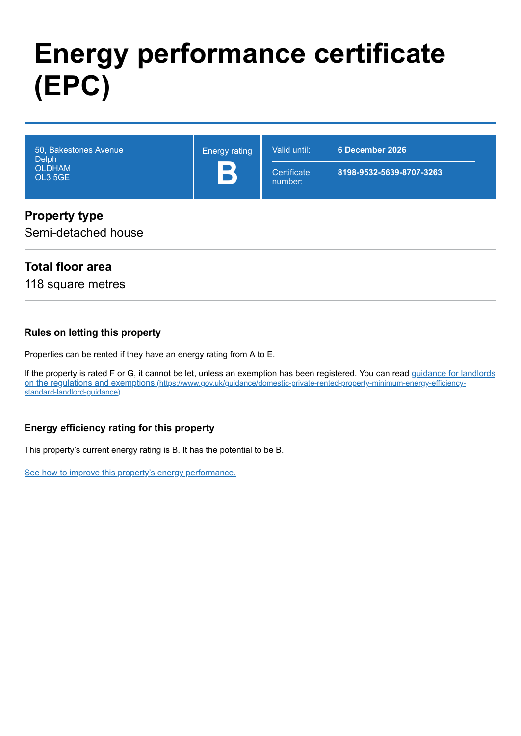# **Energy performance certificate (EPC)**

| 50, Bakestones Avenue<br><b>Delph</b> | <b>Energy rating</b> | Valid until:           | 6 December 2026          |
|---------------------------------------|----------------------|------------------------|--------------------------|
| <b>OLDHAM</b><br>OL3 5GE              |                      | Certificate<br>number: | 8198-9532-5639-8707-3263 |

#### **Property type**

Semi-detached house

#### **Total floor area**

118 square metres

#### **Rules on letting this property**

Properties can be rented if they have an energy rating from A to E.

[If the property is rated F or G, it cannot be let, unless an exemption has been registered. You can read guidance for landlords](https://www.gov.uk/guidance/domestic-private-rented-property-minimum-energy-efficiency-standard-landlord-guidance) on the regulations and exemptions (https://www.gov.uk/guidance/domestic-private-rented-property-minimum-energy-efficiencystandard-landlord-guidance).

#### **Energy efficiency rating for this property**

This property's current energy rating is B. It has the potential to be B.

[See how to improve this property's energy performance.](#page-3-0)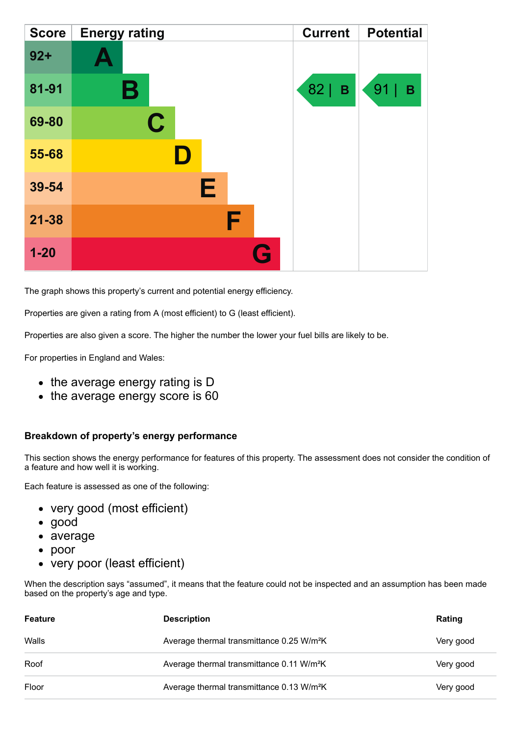| <b>Score</b> | <b>Energy rating</b> | <b>Current</b>    | <b>Potential</b>         |
|--------------|----------------------|-------------------|--------------------------|
| $92 +$       |                      |                   |                          |
| 81-91        | В                    | 82<br>$\mathbf B$ | 91<br>$\pmb{\mathsf{B}}$ |
| 69-80        | C                    |                   |                          |
| 55-68        |                      |                   |                          |
| 39-54        | Е                    |                   |                          |
| $21 - 38$    | F                    |                   |                          |
| $1 - 20$     | Q                    |                   |                          |

The graph shows this property's current and potential energy efficiency.

Properties are given a rating from A (most efficient) to G (least efficient).

Properties are also given a score. The higher the number the lower your fuel bills are likely to be.

For properties in England and Wales:

- the average energy rating is D
- the average energy score is 60

#### **Breakdown of property's energy performance**

This section shows the energy performance for features of this property. The assessment does not consider the condition of a feature and how well it is working.

Each feature is assessed as one of the following:

- very good (most efficient)
- good
- average
- poor
- very poor (least efficient)

When the description says "assumed", it means that the feature could not be inspected and an assumption has been made based on the property's age and type.

| Feature | <b>Description</b>                                    | Rating    |
|---------|-------------------------------------------------------|-----------|
| Walls   | Average thermal transmittance 0.25 W/m <sup>2</sup> K | Very good |
| Roof    | Average thermal transmittance 0.11 W/m <sup>2</sup> K | Very good |
| Floor   | Average thermal transmittance 0.13 W/m <sup>2</sup> K | Very good |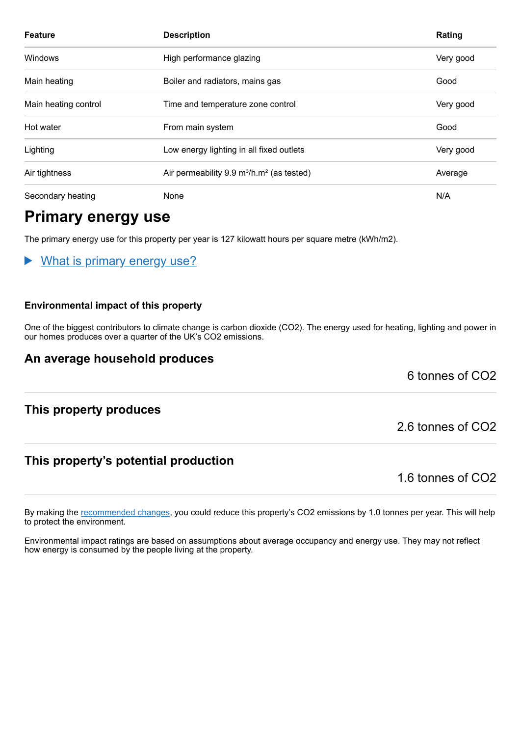| <b>Feature</b>       | <b>Description</b>                                                | Rating    |
|----------------------|-------------------------------------------------------------------|-----------|
| Windows              | High performance glazing                                          | Very good |
| Main heating         | Boiler and radiators, mains gas                                   | Good      |
| Main heating control | Time and temperature zone control                                 | Very good |
| Hot water            | From main system                                                  | Good      |
| Lighting             | Low energy lighting in all fixed outlets                          | Very good |
| Air tightness        | Air permeability 9.9 m <sup>3</sup> /h.m <sup>2</sup> (as tested) | Average   |
| Secondary heating    | None                                                              | N/A       |

# **Primary energy use**

The primary energy use for this property per year is 127 kilowatt hours per square metre (kWh/m2).

What is primary energy use?

#### **Environmental impact of this property**

One of the biggest contributors to climate change is carbon dioxide (CO2). The energy used for heating, lighting and power in our homes produces over a quarter of the UK's CO2 emissions.

#### **An average household produces**

6 tonnes of CO2

#### **This property produces**

#### **This property's potential production**

1.6 tonnes of CO2

By making the [recommended changes,](#page-3-0) you could reduce this property's CO2 emissions by 1.0 tonnes per year. This will help to protect the environment.

Environmental impact ratings are based on assumptions about average occupancy and energy use. They may not reflect how energy is consumed by the people living at the property.

2.6 tonnes of CO2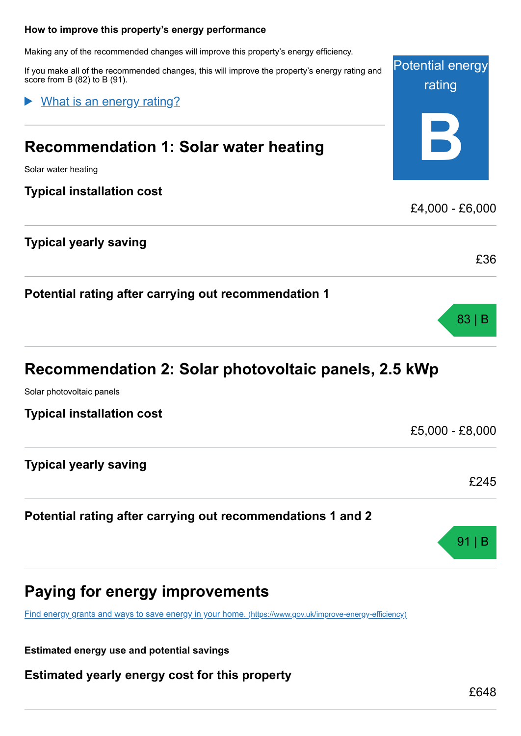# <span id="page-3-0"></span>Potential energy rating **B How to improve this property's energy performance** Making any of the recommended changes will improve this property's energy efficiency. If you make all of the recommended changes, this will improve the property's energy rating and score from B (82) to B (91). **Recommendation 1: Solar water heating** Solar water heating **Typical installation cost** £4,000 - £6,000 **Typical yearly saving** £36 **Potential rating after carrying out recommendation 1** What is an energy rating?

# **Recommendation 2: Solar photovoltaic panels, 2.5 kWp**

Solar photovoltaic panels

**Typical installation cost**

**Typical yearly saving**

## **Potential rating after carrying out recommendations 1 and 2**

# **Paying for energy improvements**

[Find energy grants and ways to save energy in your home.](https://www.gov.uk/improve-energy-efficiency) (https://www.gov.uk/improve-energy-efficiency)

**Estimated energy use and potential savings**

**Estimated yearly energy cost for this property**

83 | B

£5,000 - £8,000

£245

91 | B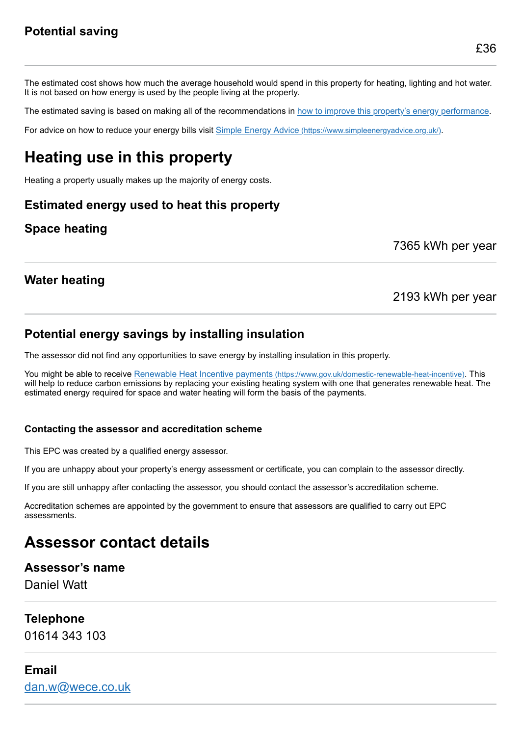The estimated cost shows how much the average household would spend in this property for heating, lighting and hot water. It is not based on how energy is used by the people living at the property.

The estimated saving is based on making all of the recommendations in [how to improve this property's energy performance.](#page-3-0)

For advice on how to reduce your energy bills visit Simple Energy Advice [\(https://www.simpleenergyadvice.org.uk/\)](https://www.simpleenergyadvice.org.uk/).

# **Heating use in this property**

Heating a property usually makes up the majority of energy costs.

#### **Estimated energy used to heat this property**

#### **Space heating**

7365 kWh per year

#### **Water heating**

#### 2193 kWh per year

#### **Potential energy savings by installing insulation**

The assessor did not find any opportunities to save energy by installing insulation in this property.

You might be able to receive Renewable Heat Incentive payments [\(https://www.gov.uk/domestic-renewable-heat-incentive\)](https://www.gov.uk/domestic-renewable-heat-incentive). This will help to reduce carbon emissions by replacing your existing heating system with one that generates renewable heat. The estimated energy required for space and water heating will form the basis of the payments.

#### **Contacting the assessor and accreditation scheme**

This EPC was created by a qualified energy assessor.

If you are unhappy about your property's energy assessment or certificate, you can complain to the assessor directly.

If you are still unhappy after contacting the assessor, you should contact the assessor's accreditation scheme.

Accreditation schemes are appointed by the government to ensure that assessors are qualified to carry out EPC assessments.

# **Assessor contact details**

#### **Assessor's name**

Daniel Watt

#### **Telephone**

01614 343 103

#### **Email**

[dan.w@wece.co.uk](mailto:dan.w@wece.co.uk)